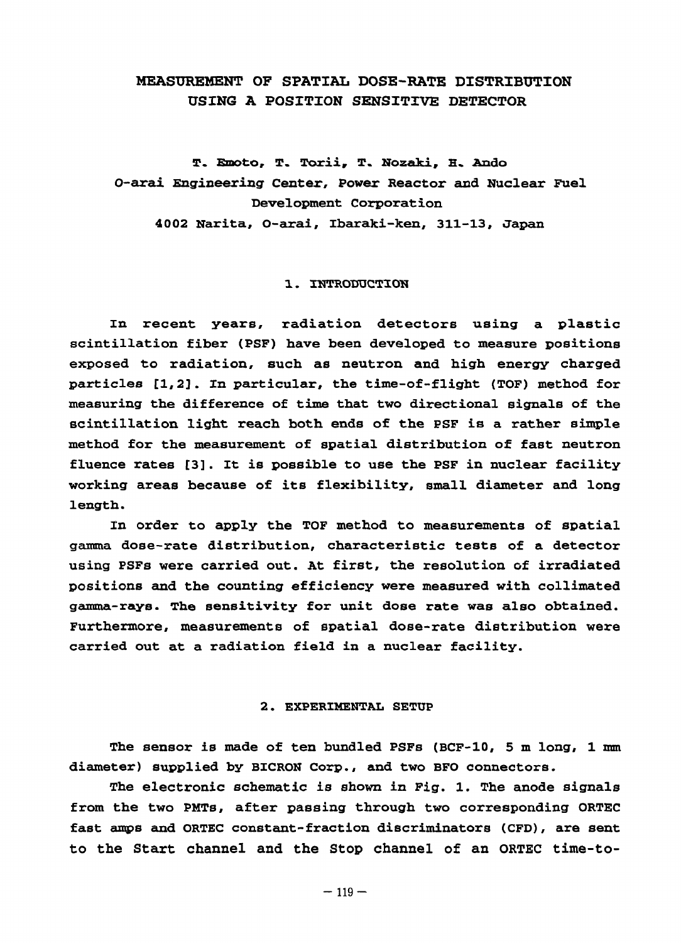# MEASUREMENT OF SPATIAL DOSE-RATE DISTRIBUTION USING A POSITION SENSITIVE DETECTOR

T. Emoto, T. Torii, T. Nozaki, H. Ando O-arai Engineering Center, Power Reactor and Nuclear Fuel Development Corporation 4002 Narita, O-arai, Ibaraki-ken, 311-13, Japan

### 1. INTRODUCTION

In recent years, radiation detectors using a plastic scintillation fiber (PSF) have been developed to measure positions exposed to radiation, such as neutron and high energy charged particles [1,2]. In particular, the time-of-flight (TOF) method for measuring the difference of time that two directional signals of the scintillation light reach both ends of the PSF is a rather simple method for the measurement of spatial distribution of fast neutron fluence rates [3]. It is possible to use the PSF in nuclear facility working areas because of its flexibility, small diameter and long length.

In order to apply the TOF method to measurements of spatial gamma dose-rate distribution, characteristic tests of a detector using PSFs were carried out. At first, the resolution of irradiated positions and the counting efficiency were measured with collimated gamma-rays. The sensitivity for unit dose rate was also obtained. Furthermore, measurements of spatial dose-rate distribution were carried out at a radiation field in a nuclear facility.

#### 2. EXPERIMENTAL SETUP

The sensor is made of ten bundled PSFs (BCF-10, 5 m long, 1 mm diameter) supplied by BICRON Corp., and two BFO connectors.

The electronic schematic is shown in Fig. 1. The anode signals from the two PMTs, after passing through two corresponding ORTEC fast amps and ORTEC constant-fraction discriminators (CFD), are sent to the Start channel and the Stop channel of an ORTEC time-to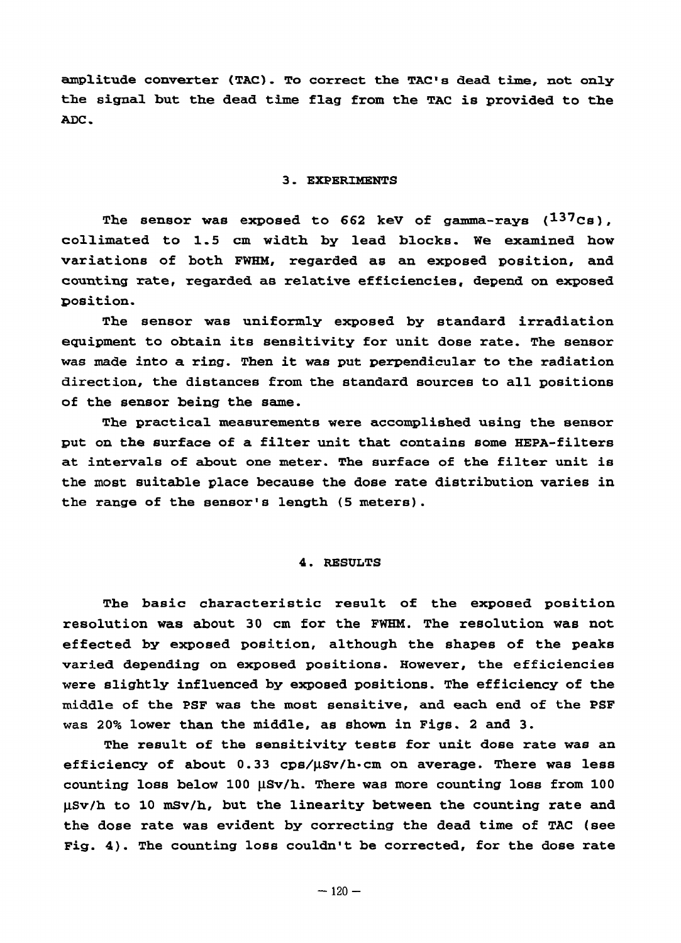amplitude converter (TAC). To correct the TAC's dead time, not only the signal but the dead time flag from the TAC is provided to the ADC.

### 3. EXPERIMENTS

The sensor was exposed to 662 keV of gamma-rays  $(137)$ Cs), collimated to 1.5 cm width by lead blocks. We examined how variations of both FWHH, regarded as an exposed position, and counting rate, regarded as relative efficiencies, depend on exposed position.

The sensor was uniformly exposed by standard irradiation equipment to obtain its sensitivity for unit dose rate. The sensor was made into a ring. Then it was put perpendicular to the radiation direction, the distances from the standard sources to all positions of the sensor being the same.

The practical measurements were accomplished using the sensor put on the surface of a filter unit that contains some HEPA-filters at intervals of about one meter. The surface of the filter unit is the most suitable place because the dose rate distribution varies in the range of the sensor's length (5 meters).

## 4. RESULTS

The basic characteristic result of the exposed position resolution was about 30 cm for the FWHM. The resolution was not effected by exposed position, although the shapes of the peaks varied depending on exposed positions. However, the efficiencies were slightly influenced by exposed positions. The efficiency of the middle of the PSF was the most sensitive, and each end of the PSF was 20% lower than the middle, as shown in Figs. 2 and 3.

The result of the sensitivity tests for unit dose rate was an efficiency of about  $0.33$  cps/ $\mu$ Sv/h·cm on average. There was less counting loss below 100  $\mu$ Sv/h. There was more counting loss from 100 uSv/h to 10 mSv/h, but the linearity between the counting rate and the dose rate was evident by correcting the dead time of TAC (see Fig. 4). The counting loss couldn't be corrected, for the dose rate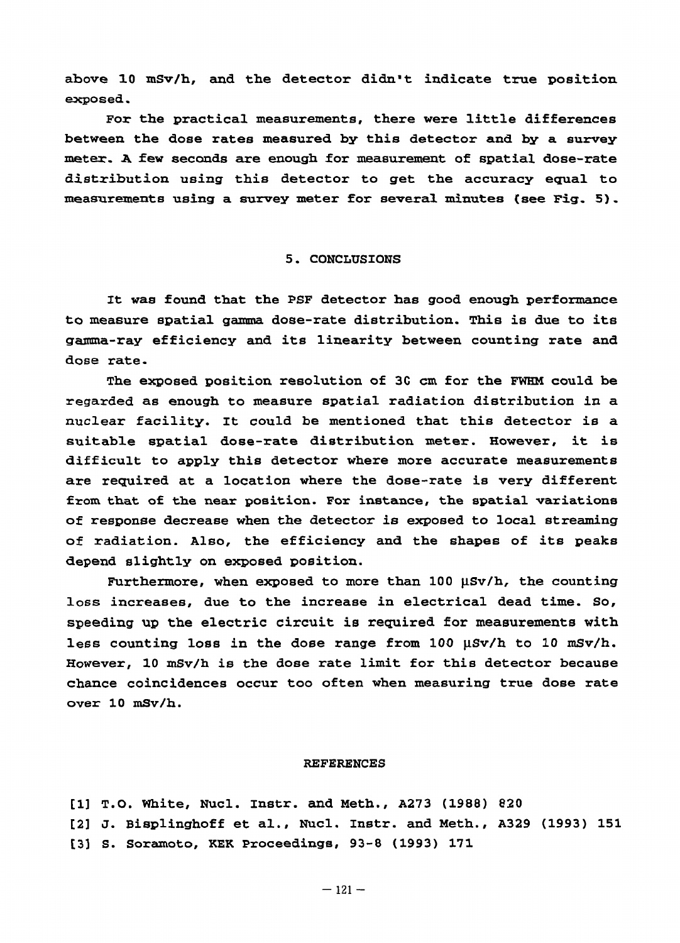above 10 mSv/h, and the detector didn't indicate true position exposed.

For the practical measurements, there were little differences between the dose rates measured by this detector and by a survey metex. A few seconds are enough for measurement of spatial dose-rate distribution using this detector to get the accuracy equal to measurements using a survey meter for several minutes {see Fig. 5) .

## 5. CONCLUSIONS

It was found that the PSF detector has good enough performance to measure spatial gamma dose-rate distribution. This is due to its gamma-ray efficiency and its linearity between counting rate and dose rate.

The exposed position resolution of 3C cm for the FWHM could be regarded as enough to measure spatial radiation distribution in a nuclear facility. It could be mentioned that this detector is a suitable spatial dose-rate distribution meter. However, it is difficult to apply this detector where more accurate measurements are required at a location where the dose-rate is very different from that of the near position. For instance, the spatial variations of response decrease when the detector is exposed to local streaming of radiation. Also, the efficiency and the shapes of its peaks depend slightly on exposed position.

Furthermore, when exposed to more than  $100 \text{ }\mu\text{Sv/h}$ , the counting loss increases, due to the increase in electrical dead time. So, speeding up the electric circuit is required for measurements with less counting loss in the dose range from 100 µSv/h to 10 mSv/h. However, 10 mSv/h is the dose rate limit for this detector because chance coincidences occur too often when measuring true dose rate over 10 mSv/h.

#### REFERENCES

[1] T.O. White, Nucl. Instr. and Meth., A273 (1988) 820 [2] J. Bisplinghoff et al., Nucl. Instr. and Meth., A329 (1993) 151 [3] S. Soramoto, KEK Proceedings, 93-8 (1993) 171

 $-121-$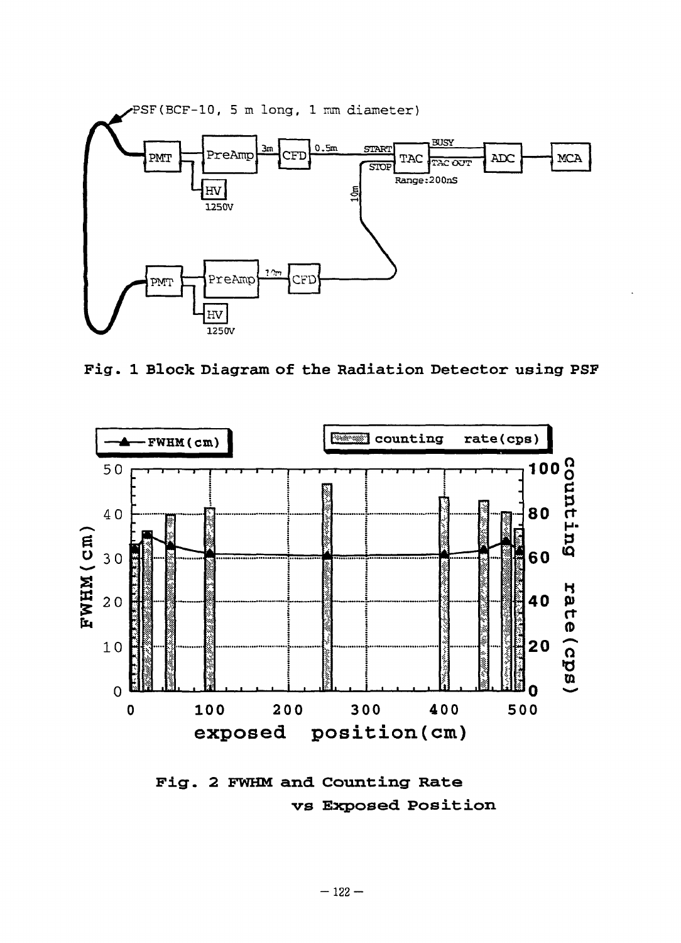

**Fig . 1 Bloc k Diagra m o f th e Radiatio n Detecto r usin g PSF** 



Fig. 2 FWHM and Counting Rate vs Exposed Position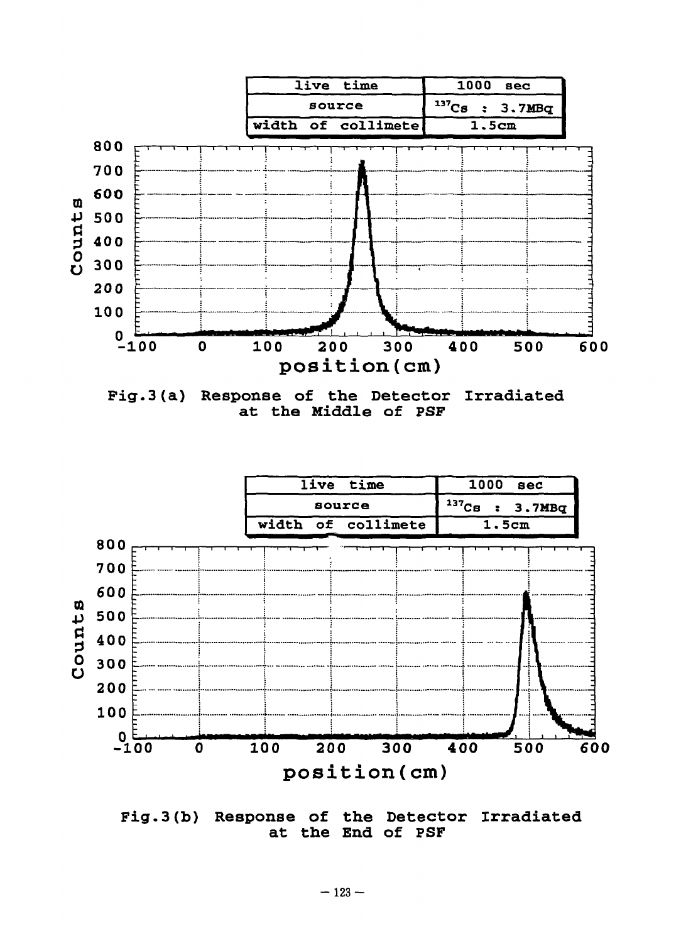





**Fig.3(b) Response of the Detector Irradiated at the End of PSF**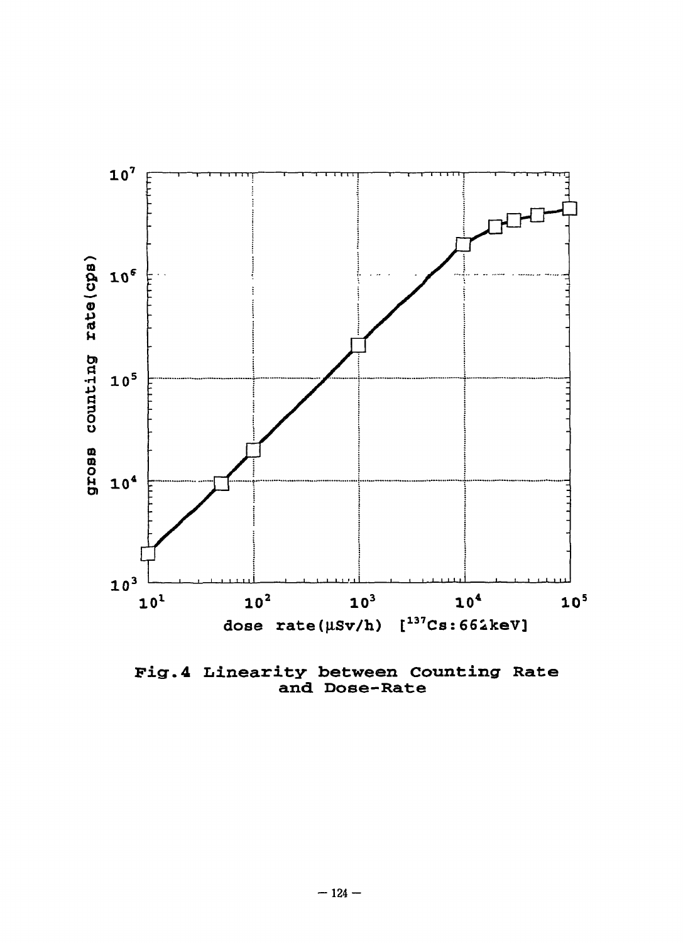

**Fig\*.4 Linearity between Counting Rate and. Dose-Rate**